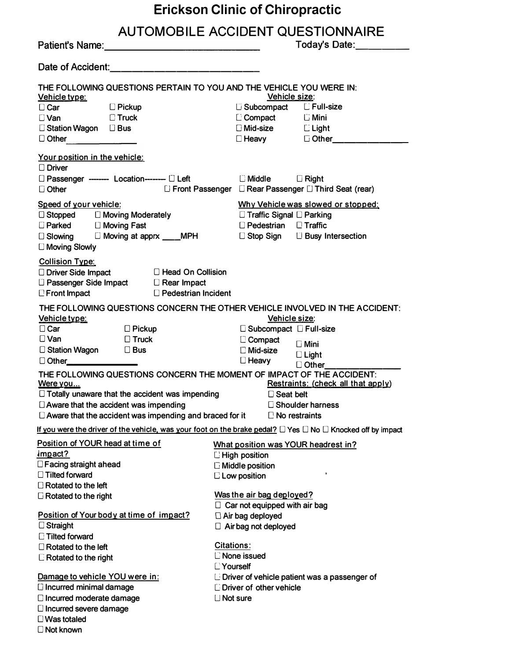| <b>Erickson Clinic of Chiropractic</b>                                                      |                                                                                                                            |  |  |  |  |
|---------------------------------------------------------------------------------------------|----------------------------------------------------------------------------------------------------------------------------|--|--|--|--|
|                                                                                             | <b>AUTOMOBILE ACCIDENT QUESTIONNAIRE</b>                                                                                   |  |  |  |  |
| Patient's Name:<br><u> Example 2008</u>                                                     | Today's Date:<br><u> </u>                                                                                                  |  |  |  |  |
|                                                                                             |                                                                                                                            |  |  |  |  |
| THE FOLLOWING QUESTIONS PERTAIN TO YOU AND THE VEHICLE YOU WERE IN:<br><u>Vehicle type:</u> | Vehicle size:                                                                                                              |  |  |  |  |
| □ Car □ Pickup                                                                              | □ Subcompact □ Full-size                                                                                                   |  |  |  |  |
| $\square$ Van $\square$ Truck                                                               | Compact CMini                                                                                                              |  |  |  |  |
| □ Station Wagon □ Bus                                                                       | □ Mid-size □ Light                                                                                                         |  |  |  |  |
| D Other 2008                                                                                | □ Heavy     □ Other_________                                                                                               |  |  |  |  |
| Your position in the vehicle:<br>$\Box$ Driver                                              |                                                                                                                            |  |  |  |  |
| □ Passenger -------- Location-------- □ Left       □ Middle    □ Right<br>$\square$ Other   | □ Front Passenger □ Rear Passenger □ Third Seat (rear)                                                                     |  |  |  |  |
| Speed of your vehicle:                                                                      | Why Vehicle was slowed or stopped:                                                                                         |  |  |  |  |
|                                                                                             | $\Box$ Traffic Signal $\Box$ Parking                                                                                       |  |  |  |  |
| □ Stopped   □ Moving Moderately<br>□ Parked    □ Moving Fast                                | $\Box$ Pedestrian $\Box$ Traffic                                                                                           |  |  |  |  |
| □ Slowing □ Moving at apprx ___MPH □ Stop Sign □ Busy Intersection                          |                                                                                                                            |  |  |  |  |
| $\square$ Moving Slowly                                                                     |                                                                                                                            |  |  |  |  |
| <b>Collision Type:</b>                                                                      |                                                                                                                            |  |  |  |  |
| □ Driver Side Impact □ Head On Collision                                                    |                                                                                                                            |  |  |  |  |
| □ Passenger Side Impact □ Rear Impact                                                       |                                                                                                                            |  |  |  |  |
| D Pedestrian Incident<br>$\Box$ Front Impact                                                |                                                                                                                            |  |  |  |  |
|                                                                                             | THE FOLLOWING QUESTIONS CONCERN THE OTHER VEHICLE INVOLVED IN THE ACCIDENT:                                                |  |  |  |  |
| Vehicle type:                                                                               | Vehicle size:                                                                                                              |  |  |  |  |
| $\Box$ Pickup<br>$\Box$ Car                                                                 | □ Subcompact □ Full-size                                                                                                   |  |  |  |  |
| $\square$ Truck<br>$\Box$ Van                                                               | $\square$ Compact<br>$\square$ Mini                                                                                        |  |  |  |  |
| $\Box$ Station Wagon $\Box$ Bus                                                             | □ Mid-size<br>□ Heavy<br>$\Box$ Light                                                                                      |  |  |  |  |
|                                                                                             | Other__                                                                                                                    |  |  |  |  |
| THE FOLLOWING QUESTIONS CONCERN THE MOMENT OF IMPACT OF THE ACCIDENT:<br><u>Were you</u>    | Restraints: (check all that apply)                                                                                         |  |  |  |  |
| $\Box$ Totally unaware that the accident was impending                                      | $\square$ Seat belt                                                                                                        |  |  |  |  |
| $\Box$ Aware that the accident was impending                                                | □ Shoulder harness                                                                                                         |  |  |  |  |
| $\square$ Aware that the accident was impending and braced for it                           | $\Box$ No restraints                                                                                                       |  |  |  |  |
|                                                                                             | If you were the driver of the vehicle, was your foot on the brake pedal? $\Box$ Yes $\Box$ No $\Box$ Knocked off by impact |  |  |  |  |
| Position of YOUR head at time of                                                            | What position was YOUR headrest in?                                                                                        |  |  |  |  |
| impact?                                                                                     | $\Box$ High position                                                                                                       |  |  |  |  |
| $\Box$ Facing straight ahead                                                                | $\Box$ Middle position                                                                                                     |  |  |  |  |
| $\Box$ Tilted forward                                                                       | $\square$ Low position                                                                                                     |  |  |  |  |
| $\Box$ Rotated to the left                                                                  |                                                                                                                            |  |  |  |  |
| $\Box$ Rotated to the right                                                                 | Was the air bag deployed?                                                                                                  |  |  |  |  |
| Position of Your body at time of impact?                                                    | $\Box$ Car not equipped with air bag                                                                                       |  |  |  |  |
| $\Box$ Straight                                                                             | $\Box$ Air bag deployed<br>$\Box$ Air bag not deployed                                                                     |  |  |  |  |
| <b>Tilted forward</b>                                                                       |                                                                                                                            |  |  |  |  |
| $\Box$ Rotated to the left                                                                  | <b>Citations:</b>                                                                                                          |  |  |  |  |
| $\Box$ Rotated to the right                                                                 | C None issued                                                                                                              |  |  |  |  |
|                                                                                             | <b>L'Yourself</b>                                                                                                          |  |  |  |  |
| Damage to vehicle YOU were in:                                                              | $\Box$ Driver of vehicle patient was a passenger of                                                                        |  |  |  |  |
| □ Incurred minimal damage                                                                   | $\Box$ Driver of other vehicle                                                                                             |  |  |  |  |
| $\square$ Incurred moderate damage                                                          | $\Box$ Not sure                                                                                                            |  |  |  |  |
| $\square$ Incurred severe damage                                                            |                                                                                                                            |  |  |  |  |
| $\square$ Was totaled                                                                       |                                                                                                                            |  |  |  |  |

**D Not known**